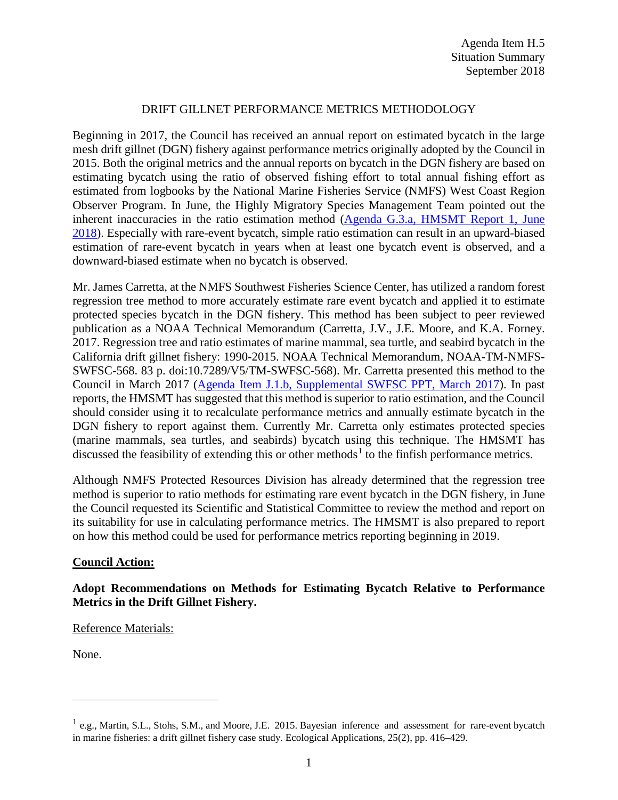## DRIFT GILLNET PERFORMANCE METRICS METHODOLOGY

Beginning in 2017, the Council has received an annual report on estimated bycatch in the large mesh drift gillnet (DGN) fishery against performance metrics originally adopted by the Council in 2015. Both the original metrics and the annual reports on bycatch in the DGN fishery are based on estimating bycatch using the ratio of observed fishing effort to total annual fishing effort as estimated from logbooks by the National Marine Fisheries Service (NMFS) West Coast Region Observer Program. In June, the Highly Migratory Species Management Team pointed out the inherent inaccuracies in the ratio estimation method [\(Agenda G.3.a, HMSMT Report 1, June](https://www.pcouncil.org/wp-content/uploads/2018/05/G3a_HMSMT_Rpt1-DGN_Performance_Metrics_JUN2018BB.pdf)  [2018\)](https://www.pcouncil.org/wp-content/uploads/2018/05/G3a_HMSMT_Rpt1-DGN_Performance_Metrics_JUN2018BB.pdf). Especially with rare-event bycatch, simple ratio estimation can result in an upward-biased estimation of rare-event bycatch in years when at least one bycatch event is observed, and a downward-biased estimate when no bycatch is observed.

Mr. James Carretta, at the NMFS Southwest Fisheries Science Center, has utilized a random forest regression tree method to more accurately estimate rare event bycatch and applied it to estimate protected species bycatch in the DGN fishery. This method has been subject to peer reviewed publication as a NOAA Technical Memorandum (Carretta, J.V., J.E. Moore, and K.A. Forney. 2017. Regression tree and ratio estimates of marine mammal, sea turtle, and seabird bycatch in the California drift gillnet fishery: 1990-2015. NOAA Technical Memorandum, NOAA-TM-NMFS-SWFSC-568. 83 p. doi:10.7289/V5/TM-SWFSC-568). Mr. Carretta presented this method to the Council in March 2017 [\(Agenda Item J.1.b, Supplemental SWFSC PPT, March 2017\)](http://www.pcouncil.org/wp-content/uploads/2017/03/J1b_Sup_SWFSC_PPT_Carretta_Mar2017BB.pdf). In past reports, the HMSMT has suggested that this method is superior to ratio estimation, and the Council should consider using it to recalculate performance metrics and annually estimate bycatch in the DGN fishery to report against them. Currently Mr. Carretta only estimates protected species (marine mammals, sea turtles, and seabirds) bycatch using this technique. The HMSMT has discussed the feasibility of extending this or other methods<sup>[1](#page-0-0)</sup> to the finfish performance metrics.

Although NMFS Protected Resources Division has already determined that the regression tree method is superior to ratio methods for estimating rare event bycatch in the DGN fishery, in June the Council requested its Scientific and Statistical Committee to review the method and report on its suitability for use in calculating performance metrics. The HMSMT is also prepared to report on how this method could be used for performance metrics reporting beginning in 2019.

## **Council Action:**

## **Adopt Recommendations on Methods for Estimating Bycatch Relative to Performance Metrics in the Drift Gillnet Fishery.**

Reference Materials:

None.

 $\overline{a}$ 

<span id="page-0-0"></span><sup>&</sup>lt;sup>1</sup> e.g., Martin, S.L., Stohs, S.M., and Moore, J.E. 2015. Bayesian inference and assessment for rare-event bycatch in marine fisheries: a drift gillnet fishery case study. Ecological Applications, 25(2), pp. 416–429.